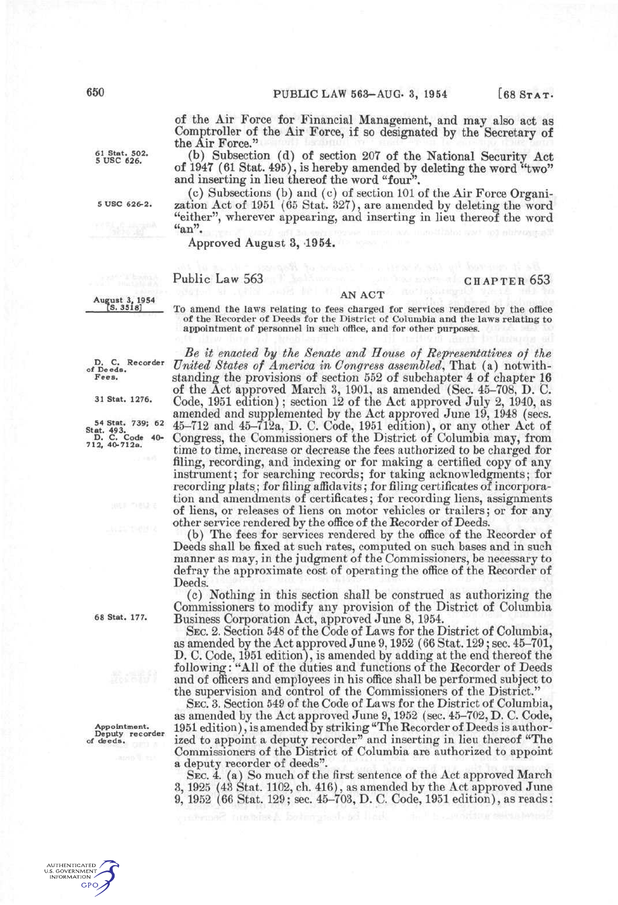of the Air Force for Financial Management, and may also act as Comptroller of the Air Force, if so designated by the Secretary of the Air Force."

 $_{5}^{61}$  Stat. 502. (b) Subsection (d) of section 207 of the National Security Act of 1947 (61 Stat. 495), is hereby amended by deleting the word "two" and inserting in lieu thereof the word "four".

(c) Subsections (b) and (c) of section 101 of the Air Force Organi-5 use 626-2. zation Act of 1951 (65 Stat. 327), are amended by deleting the word "either", wherever appearing, and inserting in lieu thereof the word  $"an"$ .

Approved August 3, 1954.

## Public Law 563

## **A A N AC T A N AC T**  $[$ S. 3518]

appointment of personnel in such office, and for other purposes. appointment of personnel in such office, and for other purposes. *Be it enacted hy the Senate and House of Representatives of the United States of America in Congress assemhled,* That (a) notwith-

To amend the laws relating to fees charged for services rendered by the office of the Recorder of Deeds for the District of Columbia and the laws relating to

**of Deeds** 

**D, C. Recorder** 

standing the provisions of section 552 of subchapter 4 of chapter 16 of the Act approved March 3, 1901, as amended (Sec. 45-708, D. *C.*  31 Stat. 1276. Codc, 1951 editiou); section 12 of the Act approved July 2, 1940, as amended and supplemented by the Act approved June 19, 1948 (secs. 54 Stat. 739: 62  $\,$  45-712 and 45-712a, D. C. Code, 1951 edition), or any other Act of D. C. Code 40- Congress, the Commissioners of the District of Columbia may, from time to time, increase or decrease the fees authorized to be charged for filing, recording, and indexing or for making a certified copy of any instrument; for searching records; for taking acknowledgments; for recording plats; for filing affidavits; for filing certificates of incorporation and amendments of certificates; for recording liens, assignments of liens, or releases of liens on motor vehicles or trailers; or for any other service rendered by the office of the Recorder of Deeds.

(b) The fees for services rendered by the office of the Recorder of Deeds shall be fixed at such rates, computed on such bases and in such manner as may, in the judgment of the Commissioners, be necessary to defray the approximate cost of operating the office of the Recorder of Deeds.

(c) Nothing in this section shall be construed as authorizing the Commissioners to modify any provision of the District of Columbia 68 Stat. 177. Business Corporation Act, approved June 8, 1954.

SEC. 2. Section 548 of the Code of Laws for the District of Columbia, as amended by the Act approved June 9,1952 (66 Stat. 129; sec. 45-701, D. C. Code, 1951 edition), is amended by adding at the end thereof the following: "All of the duties and functions of the Recorder of Deeds and of officers and employees in his office shall be performed subject to the supervision and control of the Commissioners of the District."

SEC. 3. Section 549 of the Code of Laws for the District of Columbia, as amended by the Act approved June 9,1952 (sec. 45-702, D. C. Code, Appointment.  $\frac{1951}{P_{\text{e}}}\text{edition}$ , is amended by striking "The Recorder of Deeds is author-Appointment. 1951 edition), is amended by striking "The Recorder of Deeds is author-<br>of deeds. ized to appoint a deputy recorder" and inserting in lieu thereof "The Commissioners of the District of Columbia are authorized to appoint a deputy recorder of deeds".

SEC. 4. (a) So much of the first sentence of the Act approved March 3,1925 (43 Stat. 1102, ch. 416), as amended by the Act approved June 9, 1952 (66 Stat. 129; sec. 45-703, D. C. Code, 1951 edition), as reads: